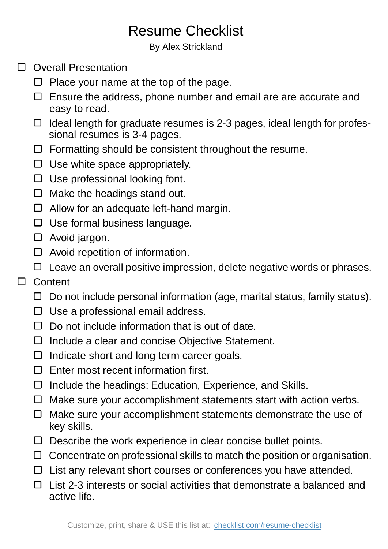## Resume Checklist

By Alex Strickland

- □ Overall Presentation
	- $\Box$  Place your name at the top of the page.
	- $\Box$  Ensure the address, phone number and email are are accurate and easy to read.
	- $\Box$  Ideal length for graduate resumes is 2-3 pages, ideal length for professional resumes is 3-4 pages.
	- $\Box$  Formatting should be consistent throughout the resume.
	- $\Box$  Use white space appropriately.
	- $\Box$  Use professional looking font.
	- $\Box$  Make the headings stand out.
	- □ Allow for an adequate left-hand margin.
	- $\Box$  Use formal business language.
	- Avoid jargon.
	- $\Box$  Avoid repetition of information.
	- $\Box$  Leave an overall positive impression, delete negative words or phrases.
- □ Content
	- $\Box$  Do not include personal information (age, marital status, family status).
	- $\Box$  Use a professional email address.
	- $\Box$  Do not include information that is out of date.
	- $\Box$  Include a clear and concise Objective Statement.
	- $\Box$  Indicate short and long term career goals.
	- $\Box$  Enter most recent information first.
	- $\Box$  Include the headings: Education, Experience, and Skills.
	- $\Box$  Make sure your accomplishment statements start with action verbs.
	- $\Box$  Make sure your accomplishment statements demonstrate the use of key skills.
	- $\Box$  Describe the work experience in clear concise bullet points.
	- $\Box$  Concentrate on professional skills to match the position or organisation.
	- $\Box$  List any relevant short courses or conferences you have attended.
	- $\Box$  List 2-3 interests or social activities that demonstrate a balanced and active life.